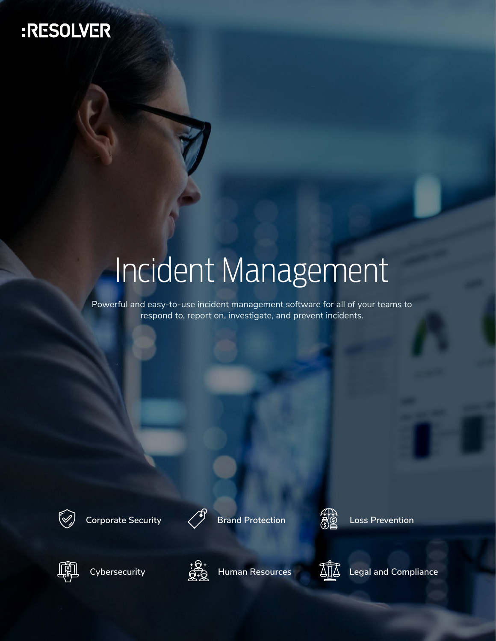# :RESOLVER

# Incident Management

Powerful and easy-to-use incident management software for all of your teams to respond to, report on, investigate, and prevent incidents.



**Corporate Security Brand Protection Loss Prevention**









**Cybersecurity Human Resources**



**Legal and Compliance**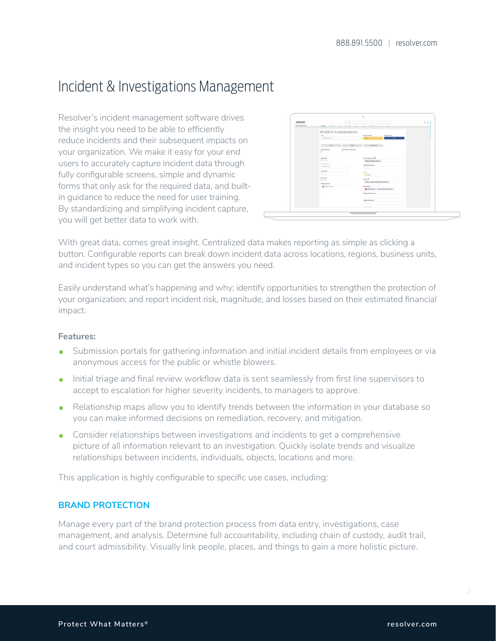## Incident & Investigations Management

Resolver's incident management software drives the insight you need to be able to efficiently reduce incidents and their subsequent impacts on your organization. We make it easy for your end users to accurately capture incident data through fully configurable screens, simple and dynamic forms that only ask for the required data, and builtin guidance to reduce the need for user training. By standardizing and simplifying incident capture, you will get better data to work with.



With great data, comes great insight. Centralized data makes reporting as simple as clicking a button. Configurable reports can break down incident data across locations, regions, business units, and incident types so you can get the answers you need.

Easily understand what's happening and why; identify opportunities to strengthen the protection of your organization; and report incident risk, magnitude, and losses based on their estimated financial impact.

#### **Features:**

- **Submission portals for gathering information and initial incident details from employees or via** anonymous access for the public or whistle blowers.
- Initial triage and final review workflow data is sent seamlessly from first line supervisors to accept to escalation for higher severity incidents, to managers to approve.
- Relationship maps allow you to identify trends between the information in your database so you can make informed decisions on remediation, recovery, and mitigation.
- **Consider relationships between investigations and incidents to get a comprehensive** picture of all information relevant to an investigation. Quickly isolate trends and visualize relationships between incidents, individuals, objects, locations and more.

This application is highly configurable to specific use cases, including:

#### **BRAND PROTECTION**

Manage every part of the brand protection process from data entry, investigations, case management, and analysis. Determine full accountability, including chain of custody, audit trail, and court admissibility. Visually link people, places, and things to gain a more holistic picture.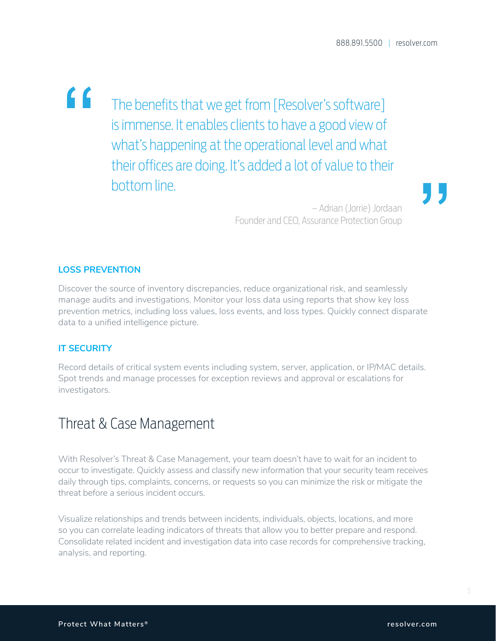" The benefits that we get from [Resolver's software] is immense. It enables clients to have a good view of what's happening at the operational level and what their offices are doing. It's added a lot of value to their bottom line.

**"** 

– Adrian (Jorrie) Jordaan Founder and CEO, Assurance Protection Group

#### **LOSS PREVENTION**

Discover the source of inventory discrepancies, reduce organizational risk, and seamlessly manage audits and investigations. Monitor your loss data using reports that show key loss prevention metrics, including loss values, loss events, and loss types. Quickly connect disparate data to a unified intelligence picture.

#### **IT SECURITY**

Record details of critical system events including system, server, application, or IP/MAC details. Spot trends and manage processes for exception reviews and approval or escalations for investigators.

## Threat & Case Management

With Resolver's Threat & Case Management, your team doesn't have to wait for an incident to occur to investigate. Quickly assess and classify new information that your security team receives daily through tips, complaints, concerns, or requests so you can minimize the risk or mitigate the threat before a serious incident occurs.

Visualize relationships and trends between incidents, individuals, objects, locations, and more so you can correlate leading indicators of threats that allow you to better prepare and respond. Consolidate related incident and investigation data into case records for comprehensive tracking, analysis, and reporting.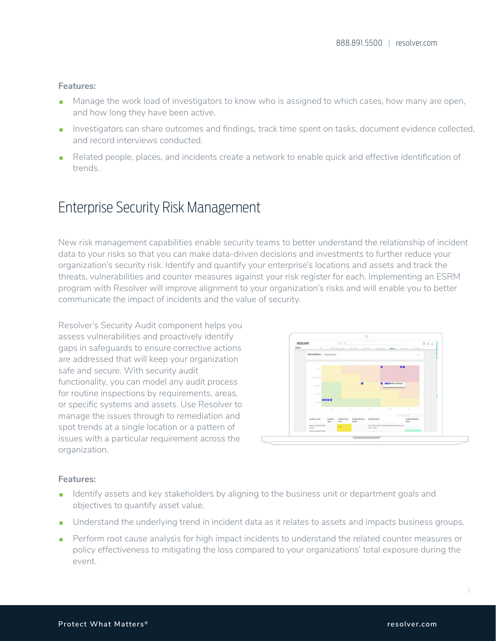#### **Features:**

- Manage the work load of investigators to know who is assigned to which cases, how many are open, and how long they have been active.
- Investigators can share outcomes and findings, track time spent on tasks, document evidence collected, and record interviews conducted.
- Related people, places, and incidents create a network to enable quick and effective identification of trends.

## Enterprise Security Risk Management

New risk management capabilities enable security teams to better understand the relationship of incident data to your risks so that you can make data-driven decisions and investments to further reduce your organization's security risk. Identify and quantify your enterprise's locations and assets and track the threats, vulnerabilities and counter measures against your risk register for each. Implementing an ESRM program with Resolver will improve alignment to your organization's risks and will enable you to better communicate the impact of incidents and the value of security.

Resolver's Security Audit component helps you assess vulnerabilities and proactively identify gaps in safeguards to ensure corrective actions are addressed that will keep your organization safe and secure. With security audit functionality, you can model any audit process for routine inspections by requirements, areas, or specific systems and assets. Use Resolver to manage the issues through to remediation and spot trends at a single location or a pattern of issues with a particular requirement across the organization.



#### **Features:**

- I Identify assets and key stakeholders by aligning to the business unit or department goals and objectives to quantify asset value.
- Understand the underlying trend in incident data as it relates to assets and impacts business groups.
- Perform root cause analysis for high impact incidents to understand the related counter measures or policy effectiveness to mitigating the loss compared to your organizations' total exposure during the event.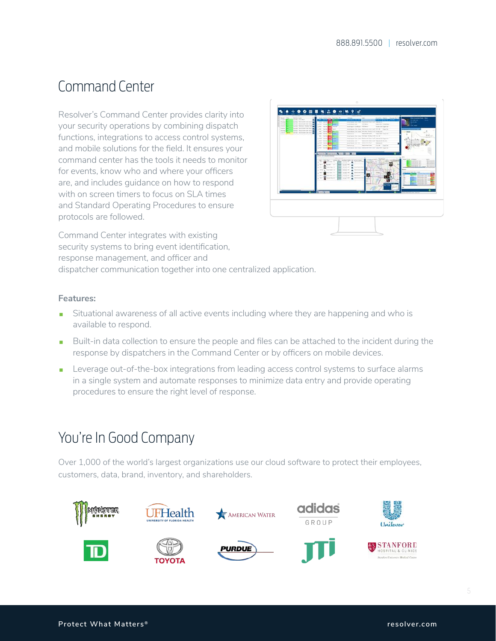## Command Center

Resolver's Command Center provides clarity into your security operations by combining dispatch functions, integrations to access control systems, and mobile solutions for the field. It ensures your command center has the tools it needs to monitor for events, know who and where your officers are, and includes guidance on how to respond with on screen timers to focus on SLA times and Standard Operating Procedures to ensure protocols are followed.



Command Center integrates with existing security systems to bring event identification, response management, and officer and dispatcher communication together into one centralized application.

#### **Features:**

- Situational awareness of all active events including where they are happening and who is available to respond.
- Built-in data collection to ensure the people and files can be attached to the incident during the response by dispatchers in the Command Center or by officers on mobile devices.
- Leverage out-of-the-box integrations from leading access control systems to surface alarms in a single system and automate responses to minimize data entry and provide operating procedures to ensure the right level of response.

## You're In Good Company

Over 1,000 of the world's largest organizations use our cloud software to protect their employees, customers, data, brand, inventory, and shareholders.